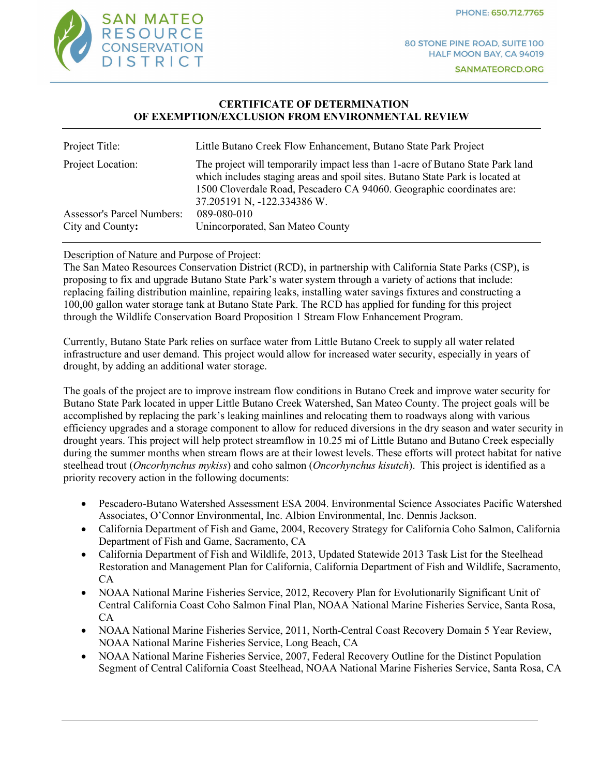PHONE: 650.712.7765



#### **CERTIFICATE OF DETERMINATION OF EXEMPTION/EXCLUSION FROM ENVIRONMENTAL REVIEW**

| Project Title:                                 | Little Butano Creek Flow Enhancement, Butano State Park Project                                                                                                                                                                                                         |
|------------------------------------------------|-------------------------------------------------------------------------------------------------------------------------------------------------------------------------------------------------------------------------------------------------------------------------|
| Project Location:                              | The project will temporarily impact less than 1-acre of Butano State Park land<br>which includes staging areas and spoil sites. Butano State Park is located at<br>1500 Cloverdale Road, Pescadero CA 94060. Geographic coordinates are:<br>37.205191 N, -122.334386 W. |
| Assessor's Parcel Numbers:<br>City and County: | 089-080-010<br>Unincorporated, San Mateo County                                                                                                                                                                                                                         |

# Description of Nature and Purpose of Project:

The San Mateo Resources Conservation District (RCD), in partnership with California State Parks (CSP), is proposing to fix and upgrade Butano State Park's water system through a variety of actions that include: replacing failing distribution mainline, repairing leaks, installing water savings fixtures and constructing a 100,00 gallon water storage tank at Butano State Park. The RCD has applied for funding for this project through the Wildlife Conservation Board Proposition 1 Stream Flow Enhancement Program.

Currently, Butano State Park relies on surface water from Little Butano Creek to supply all water related infrastructure and user demand. This project would allow for increased water security, especially in years of drought, by adding an additional water storage.

The goals of the project are to improve instream flow conditions in Butano Creek and improve water security for Butano State Park located in upper Little Butano Creek Watershed, San Mateo County. The project goals will be accomplished by replacing the park's leaking mainlines and relocating them to roadways along with various efficiency upgrades and a storage component to allow for reduced diversions in the dry season and water security in drought years. This project will help protect streamflow in 10.25 mi of Little Butano and Butano Creek especially during the summer months when stream flows are at their lowest levels. These efforts will protect habitat for native steelhead trout (*Oncorhynchus mykiss*) and coho salmon (*Oncorhynchus kisutch*). This project is identified as a priority recovery action in the following documents:

- Pescadero-Butano Watershed Assessment ESA 2004. Environmental Science Associates Pacific Watershed Associates, O'Connor Environmental, Inc. Albion Environmental, Inc. Dennis Jackson.
- California Department of Fish and Game, 2004, Recovery Strategy for California Coho Salmon, California Department of Fish and Game, Sacramento, CA
- California Department of Fish and Wildlife, 2013, Updated Statewide 2013 Task List for the Steelhead Restoration and Management Plan for California, California Department of Fish and Wildlife, Sacramento, CA
- NOAA National Marine Fisheries Service, 2012, Recovery Plan for Evolutionarily Significant Unit of Central California Coast Coho Salmon Final Plan, NOAA National Marine Fisheries Service, Santa Rosa, CA
- NOAA National Marine Fisheries Service, 2011, North-Central Coast Recovery Domain 5 Year Review, NOAA National Marine Fisheries Service, Long Beach, CA
- NOAA National Marine Fisheries Service, 2007, Federal Recovery Outline for the Distinct Population Segment of Central California Coast Steelhead, NOAA National Marine Fisheries Service, Santa Rosa, CA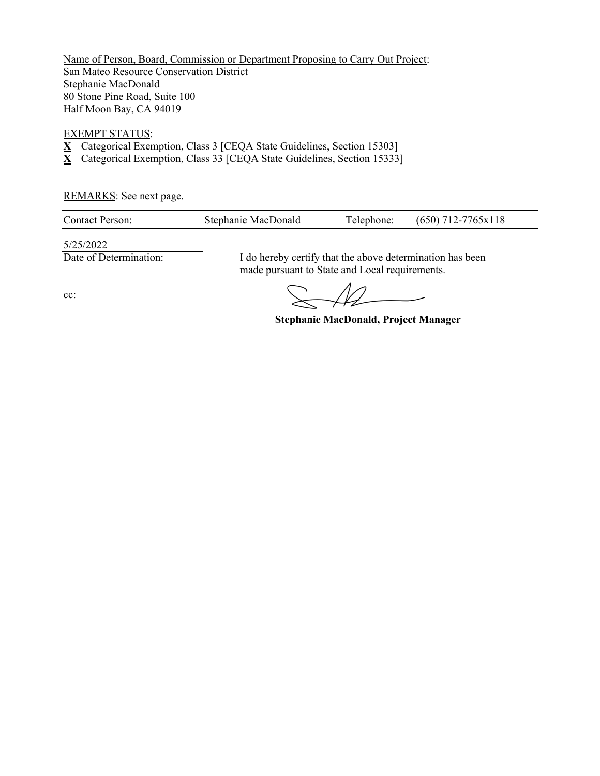Name of Person, Board, Commission or Department Proposing to Carry Out Project: San Mateo Resource Conservation District Stephanie MacDonald 80 Stone Pine Road, Suite 100 Half Moon Bay, CA 94019

#### EXEMPT STATUS:

- **X** Categorical Exemption, Class 3 [CEQA State Guidelines, Section 15303]
- **X** Categorical Exemption, Class 33 [CEQA State Guidelines, Section 15333]

REMARKS: See next page.

| <b>Contact Person:</b> | Stephanie MacDonald | Telephone: | $(650)$ 712-7765x118 |
|------------------------|---------------------|------------|----------------------|
|                        |                     |            |                      |

5/25/2022

Date of Determination: I do hereby certify that the above determination has been made pursuant to State and Local requirements.

cc:

**Stephanie MacDonald, Project Manager**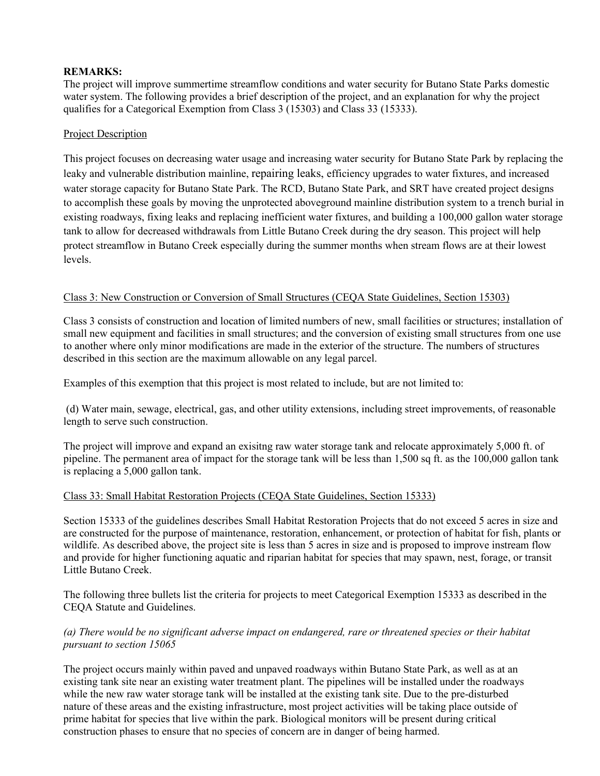### **REMARKS:**

The project will improve summertime streamflow conditions and water security for Butano State Parks domestic water system. The following provides a brief description of the project, and an explanation for why the project qualifies for a Categorical Exemption from Class 3 (15303) and Class 33 (15333).

# Project Description

This project focuses on decreasing water usage and increasing water security for Butano State Park by replacing the leaky and vulnerable distribution mainline, repairing leaks, efficiency upgrades to water fixtures, and increased water storage capacity for Butano State Park. The RCD, Butano State Park, and SRT have created project designs to accomplish these goals by moving the unprotected aboveground mainline distribution system to a trench burial in existing roadways, fixing leaks and replacing inefficient water fixtures, and building a 100,000 gallon water storage tank to allow for decreased withdrawals from Little Butano Creek during the dry season. This project will help protect streamflow in Butano Creek especially during the summer months when stream flows are at their lowest levels.

### Class 3: New Construction or Conversion of Small Structures (CEQA State Guidelines, Section 15303)

Class 3 consists of construction and location of limited numbers of new, small facilities or structures; installation of small new equipment and facilities in small structures; and the conversion of existing small structures from one use to another where only minor modifications are made in the exterior of the structure. The numbers of structures described in this section are the maximum allowable on any legal parcel.

Examples of this exemption that this project is most related to include, but are not limited to:

(d) Water main, sewage, electrical, gas, and other utility extensions, including street improvements, of reasonable length to serve such construction.

The project will improve and expand an exisitng raw water storage tank and relocate approximately 5,000 ft. of pipeline. The permanent area of impact for the storage tank will be less than 1,500 sq ft. as the 100,000 gallon tank is replacing a 5,000 gallon tank.

### Class 33: Small Habitat Restoration Projects (CEQA State Guidelines, Section 15333)

Section 15333 of the guidelines describes Small Habitat Restoration Projects that do not exceed 5 acres in size and are constructed for the purpose of maintenance, restoration, enhancement, or protection of habitat for fish, plants or wildlife. As described above, the project site is less than 5 acres in size and is proposed to improve instream flow and provide for higher functioning aquatic and riparian habitat for species that may spawn, nest, forage, or transit Little Butano Creek.

The following three bullets list the criteria for projects to meet Categorical Exemption 15333 as described in the CEQA Statute and Guidelines.

# *(a) There would be no significant adverse impact on endangered, rare or threatened species or their habitat pursuant to section 15065*

The project occurs mainly within paved and unpaved roadways within Butano State Park, as well as at an existing tank site near an existing water treatment plant. The pipelines will be installed under the roadways while the new raw water storage tank will be installed at the existing tank site. Due to the pre-disturbed nature of these areas and the existing infrastructure, most project activities will be taking place outside of prime habitat for species that live within the park. Biological monitors will be present during critical construction phases to ensure that no species of concern are in danger of being harmed.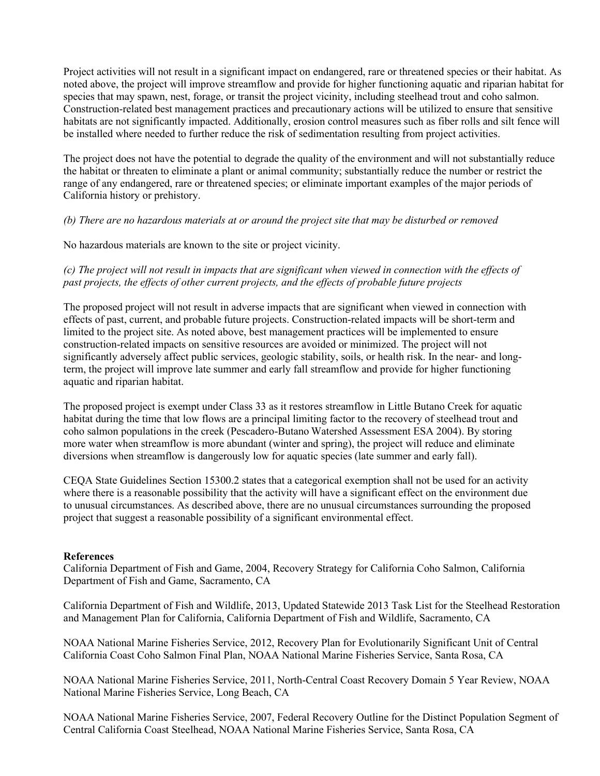Project activities will not result in a significant impact on endangered, rare or threatened species or their habitat. As noted above, the project will improve streamflow and provide for higher functioning aquatic and riparian habitat for species that may spawn, nest, forage, or transit the project vicinity, including steelhead trout and coho salmon. Construction-related best management practices and precautionary actions will be utilized to ensure that sensitive habitats are not significantly impacted. Additionally, erosion control measures such as fiber rolls and silt fence will be installed where needed to further reduce the risk of sedimentation resulting from project activities.

The project does not have the potential to degrade the quality of the environment and will not substantially reduce the habitat or threaten to eliminate a plant or animal community; substantially reduce the number or restrict the range of any endangered, rare or threatened species; or eliminate important examples of the major periods of California history or prehistory.

# *(b) There are no hazardous materials at or around the project site that may be disturbed or removed*

No hazardous materials are known to the site or project vicinity.

*(c) The project will not result in impacts that are significant when viewed in connection with the effects of past projects, the effects of other current projects, and the effects of probable future projects*

The proposed project will not result in adverse impacts that are significant when viewed in connection with effects of past, current, and probable future projects. Construction-related impacts will be short-term and limited to the project site. As noted above, best management practices will be implemented to ensure construction-related impacts on sensitive resources are avoided or minimized. The project will not significantly adversely affect public services, geologic stability, soils, or health risk. In the near- and longterm, the project will improve late summer and early fall streamflow and provide for higher functioning aquatic and riparian habitat.

The proposed project is exempt under Class 33 as it restores streamflow in Little Butano Creek for aquatic habitat during the time that low flows are a principal limiting factor to the recovery of steelhead trout and coho salmon populations in the creek (Pescadero-Butano Watershed Assessment ESA 2004). By storing more water when streamflow is more abundant (winter and spring), the project will reduce and eliminate diversions when streamflow is dangerously low for aquatic species (late summer and early fall).

CEQA State Guidelines Section 15300.2 states that a categorical exemption shall not be used for an activity where there is a reasonable possibility that the activity will have a significant effect on the environment due to unusual circumstances. As described above, there are no unusual circumstances surrounding the proposed project that suggest a reasonable possibility of a significant environmental effect.

### **References**

California Department of Fish and Game, 2004, Recovery Strategy for California Coho Salmon, California Department of Fish and Game, Sacramento, CA

California Department of Fish and Wildlife, 2013, Updated Statewide 2013 Task List for the Steelhead Restoration and Management Plan for California, California Department of Fish and Wildlife, Sacramento, CA

NOAA National Marine Fisheries Service, 2012, Recovery Plan for Evolutionarily Significant Unit of Central California Coast Coho Salmon Final Plan, NOAA National Marine Fisheries Service, Santa Rosa, CA

NOAA National Marine Fisheries Service, 2011, North-Central Coast Recovery Domain 5 Year Review, NOAA National Marine Fisheries Service, Long Beach, CA

NOAA National Marine Fisheries Service, 2007, Federal Recovery Outline for the Distinct Population Segment of Central California Coast Steelhead, NOAA National Marine Fisheries Service, Santa Rosa, CA